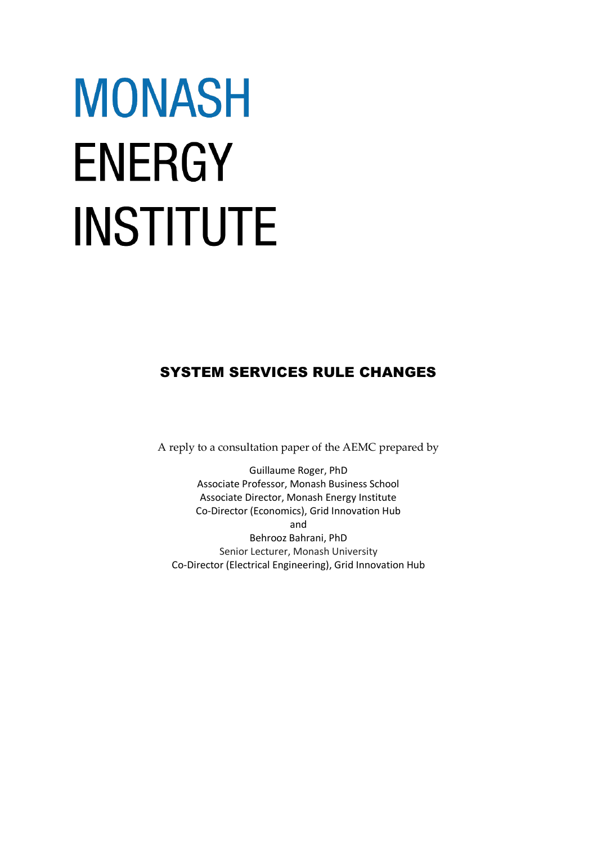# **MONASH ENERGY INSTITUTE**

# SYSTEM SERVICES RULE CHANGES

A reply to a consultation paper of the AEMC prepared by

Guillaume Roger, PhD Associate Professor, Monash Business School Associate Director, Monash Energy Institute Co-Director (Economics), Grid Innovation Hub and Behrooz Bahrani, PhD Senior Lecturer, Monash University Co-Director (Electrical Engineering), Grid Innovation Hub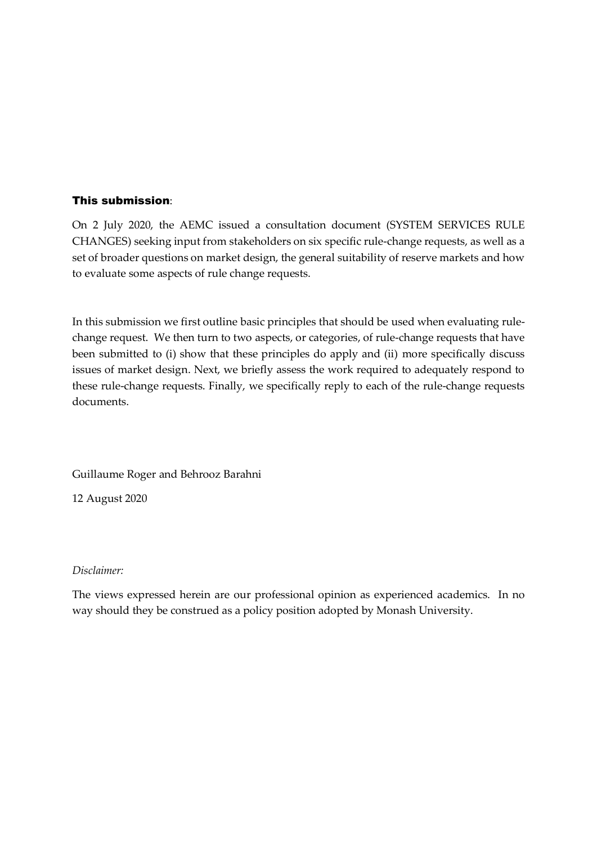## This submission:

On 2 July 2020, the AEMC issued a consultation document (SYSTEM SERVICES RULE CHANGES) seeking input from stakeholders on six specific rule-change requests, as well as a set of broader questions on market design, the general suitability of reserve markets and how to evaluate some aspects of rule change requests.

In this submission we first outline basic principles that should be used when evaluating rulechange request. We then turn to two aspects, or categories, of rule-change requests that have been submitted to (i) show that these principles do apply and (ii) more specifically discuss issues of market design. Next, we briefly assess the work required to adequately respond to these rule-change requests. Finally, we specifically reply to each of the rule-change requests documents.

Guillaume Roger and Behrooz Barahni

12 August 2020

### *Disclaimer:*

The views expressed herein are our professional opinion as experienced academics. In no way should they be construed as a policy position adopted by Monash University.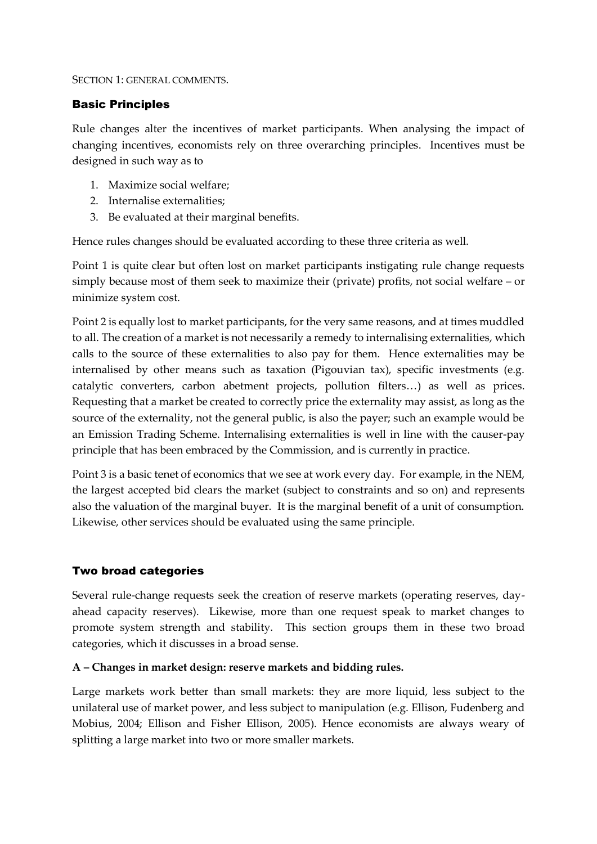### SECTION 1: GENERAL COMMENTS.

# Basic Principles

Rule changes alter the incentives of market participants. When analysing the impact of changing incentives, economists rely on three overarching principles. Incentives must be designed in such way as to

- 1. Maximize social welfare;
- 2. Internalise externalities;
- 3. Be evaluated at their marginal benefits.

Hence rules changes should be evaluated according to these three criteria as well.

Point 1 is quite clear but often lost on market participants instigating rule change requests simply because most of them seek to maximize their (private) profits, not social welfare – or minimize system cost.

Point 2 is equally lost to market participants, for the very same reasons, and at times muddled to all. The creation of a market is not necessarily a remedy to internalising externalities, which calls to the source of these externalities to also pay for them. Hence externalities may be internalised by other means such as taxation (Pigouvian tax), specific investments (e.g. catalytic converters, carbon abetment projects, pollution filters…) as well as prices. Requesting that a market be created to correctly price the externality may assist, as long as the source of the externality, not the general public, is also the payer; such an example would be an Emission Trading Scheme. Internalising externalities is well in line with the causer-pay principle that has been embraced by the Commission, and is currently in practice.

Point 3 is a basic tenet of economics that we see at work every day. For example, in the NEM, the largest accepted bid clears the market (subject to constraints and so on) and represents also the valuation of the marginal buyer. It is the marginal benefit of a unit of consumption. Likewise, other services should be evaluated using the same principle.

# Two broad categories

Several rule-change requests seek the creation of reserve markets (operating reserves, dayahead capacity reserves). Likewise, more than one request speak to market changes to promote system strength and stability. This section groups them in these two broad categories, which it discusses in a broad sense.

### **A – Changes in market design: reserve markets and bidding rules.**

Large markets work better than small markets: they are more liquid, less subject to the unilateral use of market power, and less subject to manipulation (e.g. Ellison, Fudenberg and Mobius, 2004; Ellison and Fisher Ellison, 2005). Hence economists are always weary of splitting a large market into two or more smaller markets.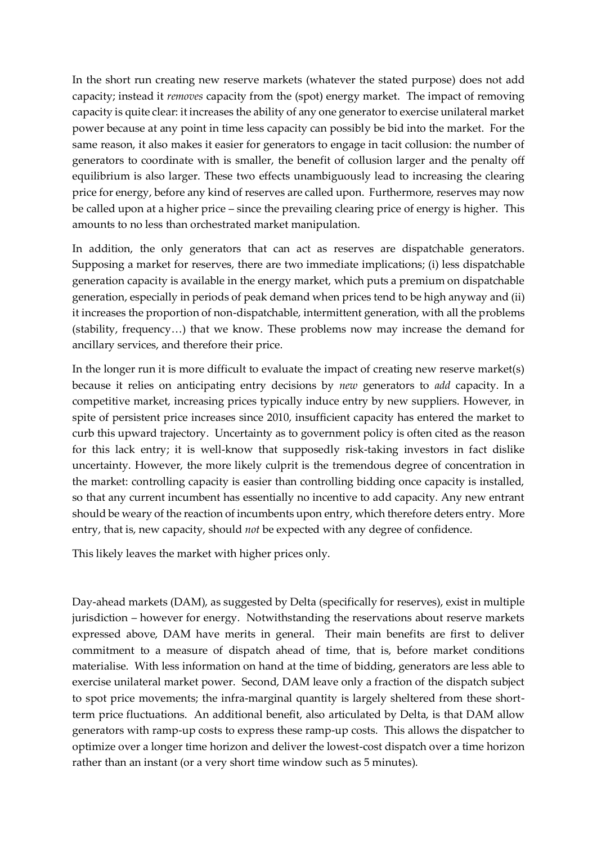In the short run creating new reserve markets (whatever the stated purpose) does not add capacity; instead it *removes* capacity from the (spot) energy market. The impact of removing capacity is quite clear: it increases the ability of any one generator to exercise unilateral market power because at any point in time less capacity can possibly be bid into the market. For the same reason, it also makes it easier for generators to engage in tacit collusion: the number of generators to coordinate with is smaller, the benefit of collusion larger and the penalty off equilibrium is also larger. These two effects unambiguously lead to increasing the clearing price for energy, before any kind of reserves are called upon. Furthermore, reserves may now be called upon at a higher price – since the prevailing clearing price of energy is higher. This amounts to no less than orchestrated market manipulation.

In addition, the only generators that can act as reserves are dispatchable generators. Supposing a market for reserves, there are two immediate implications; (i) less dispatchable generation capacity is available in the energy market, which puts a premium on dispatchable generation, especially in periods of peak demand when prices tend to be high anyway and (ii) it increases the proportion of non-dispatchable, intermittent generation, with all the problems (stability, frequency…) that we know. These problems now may increase the demand for ancillary services, and therefore their price.

In the longer run it is more difficult to evaluate the impact of creating new reserve market(s) because it relies on anticipating entry decisions by *new* generators to *add* capacity. In a competitive market, increasing prices typically induce entry by new suppliers. However, in spite of persistent price increases since 2010, insufficient capacity has entered the market to curb this upward trajectory. Uncertainty as to government policy is often cited as the reason for this lack entry; it is well-know that supposedly risk-taking investors in fact dislike uncertainty. However, the more likely culprit is the tremendous degree of concentration in the market: controlling capacity is easier than controlling bidding once capacity is installed, so that any current incumbent has essentially no incentive to add capacity. Any new entrant should be weary of the reaction of incumbents upon entry, which therefore deters entry. More entry, that is, new capacity, should *not* be expected with any degree of confidence.

This likely leaves the market with higher prices only.

Day-ahead markets (DAM), as suggested by Delta (specifically for reserves), exist in multiple jurisdiction – however for energy. Notwithstanding the reservations about reserve markets expressed above, DAM have merits in general. Their main benefits are first to deliver commitment to a measure of dispatch ahead of time, that is, before market conditions materialise. With less information on hand at the time of bidding, generators are less able to exercise unilateral market power. Second, DAM leave only a fraction of the dispatch subject to spot price movements; the infra-marginal quantity is largely sheltered from these shortterm price fluctuations. An additional benefit, also articulated by Delta, is that DAM allow generators with ramp-up costs to express these ramp-up costs. This allows the dispatcher to optimize over a longer time horizon and deliver the lowest-cost dispatch over a time horizon rather than an instant (or a very short time window such as 5 minutes).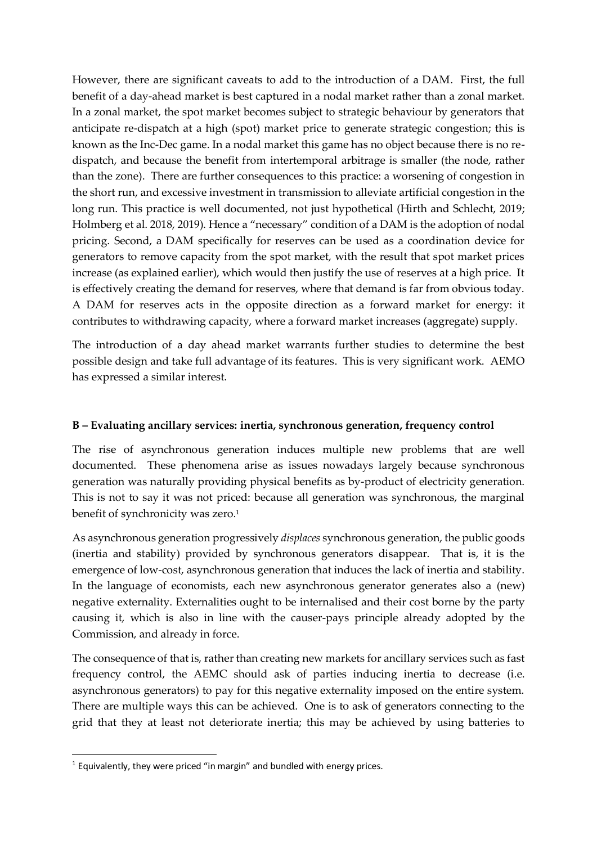However, there are significant caveats to add to the introduction of a DAM. First, the full benefit of a day-ahead market is best captured in a nodal market rather than a zonal market. In a zonal market, the spot market becomes subject to strategic behaviour by generators that anticipate re-dispatch at a high (spot) market price to generate strategic congestion; this is known as the Inc-Dec game. In a nodal market this game has no object because there is no redispatch, and because the benefit from intertemporal arbitrage is smaller (the node, rather than the zone). There are further consequences to this practice: a worsening of congestion in the short run, and excessive investment in transmission to alleviate artificial congestion in the long run. This practice is well documented, not just hypothetical (Hirth and Schlecht, 2019; Holmberg et al. 2018, 2019). Hence a "necessary" condition of a DAM is the adoption of nodal pricing. Second, a DAM specifically for reserves can be used as a coordination device for generators to remove capacity from the spot market, with the result that spot market prices increase (as explained earlier), which would then justify the use of reserves at a high price. It is effectively creating the demand for reserves, where that demand is far from obvious today. A DAM for reserves acts in the opposite direction as a forward market for energy: it contributes to withdrawing capacity, where a forward market increases (aggregate) supply.

The introduction of a day ahead market warrants further studies to determine the best possible design and take full advantage of its features. This is very significant work. AEMO has expressed a similar interest.

# **B – Evaluating ancillary services: inertia, synchronous generation, frequency control**

The rise of asynchronous generation induces multiple new problems that are well documented. These phenomena arise as issues nowadays largely because synchronous generation was naturally providing physical benefits as by-product of electricity generation. This is not to say it was not priced: because all generation was synchronous, the marginal benefit of synchronicity was zero.<sup>1</sup>

As asynchronous generation progressively *displaces* synchronous generation, the public goods (inertia and stability) provided by synchronous generators disappear. That is, it is the emergence of low-cost, asynchronous generation that induces the lack of inertia and stability. In the language of economists, each new asynchronous generator generates also a (new) negative externality. Externalities ought to be internalised and their cost borne by the party causing it, which is also in line with the causer-pays principle already adopted by the Commission, and already in force.

The consequence of that is, rather than creating new markets for ancillary services such as fast frequency control, the AEMC should ask of parties inducing inertia to decrease (i.e. asynchronous generators) to pay for this negative externality imposed on the entire system. There are multiple ways this can be achieved. One is to ask of generators connecting to the grid that they at least not deteriorate inertia; this may be achieved by using batteries to

-

<sup>&</sup>lt;sup>1</sup> Equivalently, they were priced "in margin" and bundled with energy prices.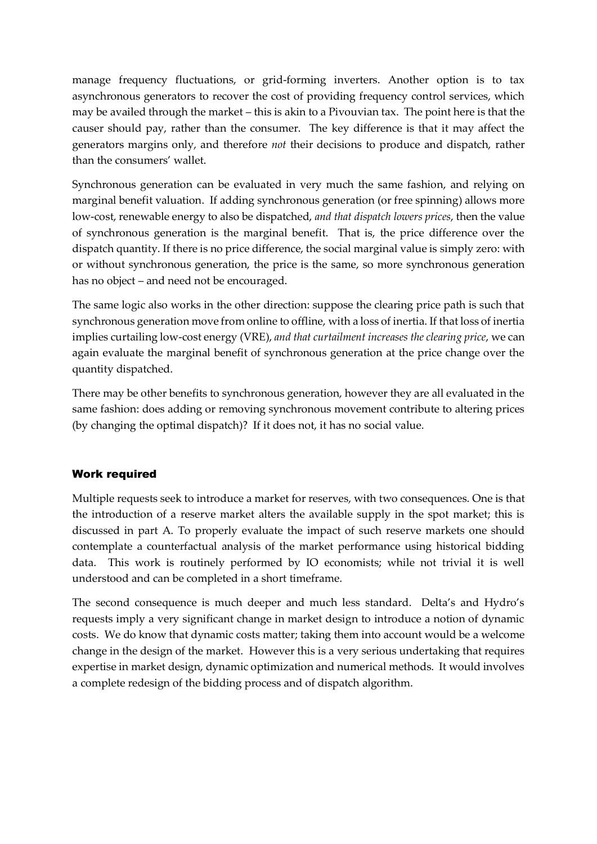manage frequency fluctuations, or grid-forming inverters. Another option is to tax asynchronous generators to recover the cost of providing frequency control services, which may be availed through the market – this is akin to a Pivouvian tax. The point here is that the causer should pay, rather than the consumer. The key difference is that it may affect the generators margins only, and therefore *not* their decisions to produce and dispatch, rather than the consumers' wallet.

Synchronous generation can be evaluated in very much the same fashion, and relying on marginal benefit valuation. If adding synchronous generation (or free spinning) allows more low-cost, renewable energy to also be dispatched, *and that dispatch lowers prices*, then the value of synchronous generation is the marginal benefit. That is, the price difference over the dispatch quantity. If there is no price difference, the social marginal value is simply zero: with or without synchronous generation, the price is the same, so more synchronous generation has no object – and need not be encouraged.

The same logic also works in the other direction: suppose the clearing price path is such that synchronous generation move from online to offline, with a loss of inertia. If that loss of inertia implies curtailing low-cost energy (VRE), *and that curtailment increases the clearing price*, we can again evaluate the marginal benefit of synchronous generation at the price change over the quantity dispatched.

There may be other benefits to synchronous generation, however they are all evaluated in the same fashion: does adding or removing synchronous movement contribute to altering prices (by changing the optimal dispatch)? If it does not, it has no social value.

# Work required

Multiple requests seek to introduce a market for reserves, with two consequences. One is that the introduction of a reserve market alters the available supply in the spot market; this is discussed in part A. To properly evaluate the impact of such reserve markets one should contemplate a counterfactual analysis of the market performance using historical bidding data. This work is routinely performed by IO economists; while not trivial it is well understood and can be completed in a short timeframe.

The second consequence is much deeper and much less standard. Delta's and Hydro's requests imply a very significant change in market design to introduce a notion of dynamic costs. We do know that dynamic costs matter; taking them into account would be a welcome change in the design of the market. However this is a very serious undertaking that requires expertise in market design, dynamic optimization and numerical methods. It would involves a complete redesign of the bidding process and of dispatch algorithm.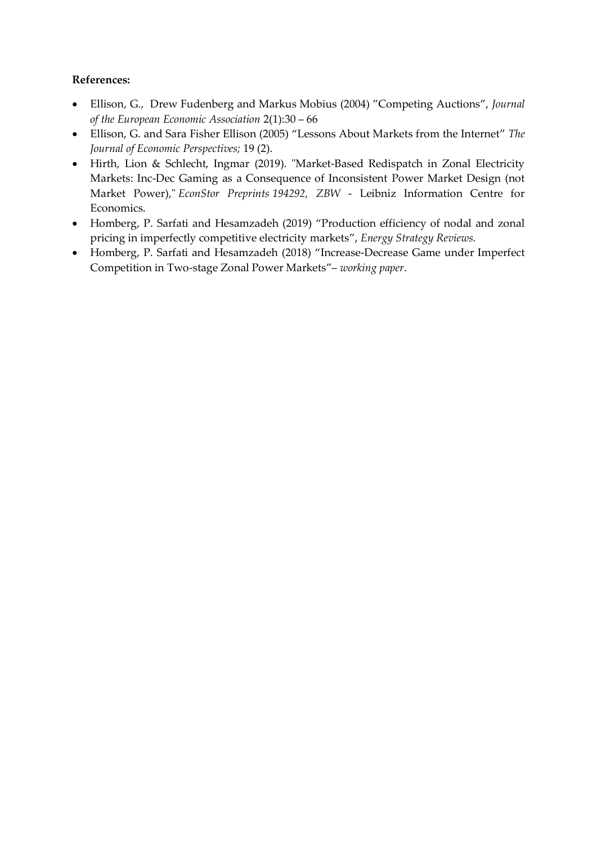# **References:**

- Ellison, G., Drew Fudenberg and Markus Mobius (2004) "Competing Auctions", *Journal of the European Economic Association* 2(1):30 – 66
- Ellison, G. and Sara Fisher Ellison (2005) "Lessons About Markets from the Internet" *The Journal of Economic Perspectives;* 19 (2).
- Hirth, Lion & Schlecht, Ingmar (2019). ["Market-Based Redispatch in Zonal Electricity](https://ideas.repec.org/p/zbw/esprep/194292.html)  [Markets: Inc-Dec Gaming as a Consequence of Inconsistent Power Market Design \(not](https://ideas.repec.org/p/zbw/esprep/194292.html)  [Market Power\),](https://ideas.repec.org/p/zbw/esprep/194292.html)" *[EconStor Preprints](https://ideas.repec.org/s/zbw/esprep.html) 194292, ZBW* - Leibniz Information Centre for Economics.
- Homberg, P. Sarfati and Hesamzadeh (2019) "Production efficiency of nodal and zonal pricing in imperfectly competitive electricity markets", *Energy Strategy Reviews.*
- Homberg, P. Sarfati and Hesamzadeh (2018) "Increase-Decrease Game under Imperfect Competition in Two-stage Zonal Power Markets"– *working paper*.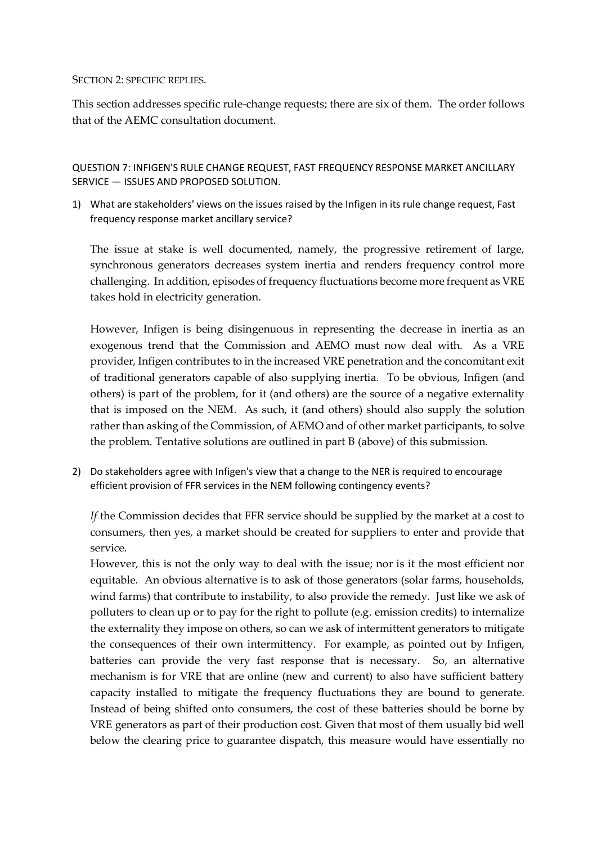### SECTION 2: SPECIFIC REPLIES.

This section addresses specific rule-change requests; there are six of them. The order follows that of the AEMC consultation document.

QUESTION 7: INFIGEN'S RULE CHANGE REQUEST, FAST FREQUENCY RESPONSE MARKET ANCILLARY SERVICE — ISSUES AND PROPOSED SOLUTION.

1) What are stakeholders' views on the issues raised by the Infigen in its rule change request, Fast frequency response market ancillary service?

The issue at stake is well documented, namely, the progressive retirement of large, synchronous generators decreases system inertia and renders frequency control more challenging. In addition, episodes of frequency fluctuations become more frequent as VRE takes hold in electricity generation.

However, Infigen is being disingenuous in representing the decrease in inertia as an exogenous trend that the Commission and AEMO must now deal with. As a VRE provider, Infigen contributes to in the increased VRE penetration and the concomitant exit of traditional generators capable of also supplying inertia. To be obvious, Infigen (and others) is part of the problem, for it (and others) are the source of a negative externality that is imposed on the NEM. As such, it (and others) should also supply the solution rather than asking of the Commission, of AEMO and of other market participants, to solve the problem. Tentative solutions are outlined in part B (above) of this submission.

2) Do stakeholders agree with Infigen's view that a change to the NER is required to encourage efficient provision of FFR services in the NEM following contingency events?

*If* the Commission decides that FFR service should be supplied by the market at a cost to consumers, then yes, a market should be created for suppliers to enter and provide that service.

However, this is not the only way to deal with the issue; nor is it the most efficient nor equitable. An obvious alternative is to ask of those generators (solar farms, households, wind farms) that contribute to instability, to also provide the remedy. Just like we ask of polluters to clean up or to pay for the right to pollute (e.g. emission credits) to internalize the externality they impose on others, so can we ask of intermittent generators to mitigate the consequences of their own intermittency. For example, as pointed out by Infigen, batteries can provide the very fast response that is necessary. So, an alternative mechanism is for VRE that are online (new and current) to also have sufficient battery capacity installed to mitigate the frequency fluctuations they are bound to generate. Instead of being shifted onto consumers, the cost of these batteries should be borne by VRE generators as part of their production cost. Given that most of them usually bid well below the clearing price to guarantee dispatch, this measure would have essentially no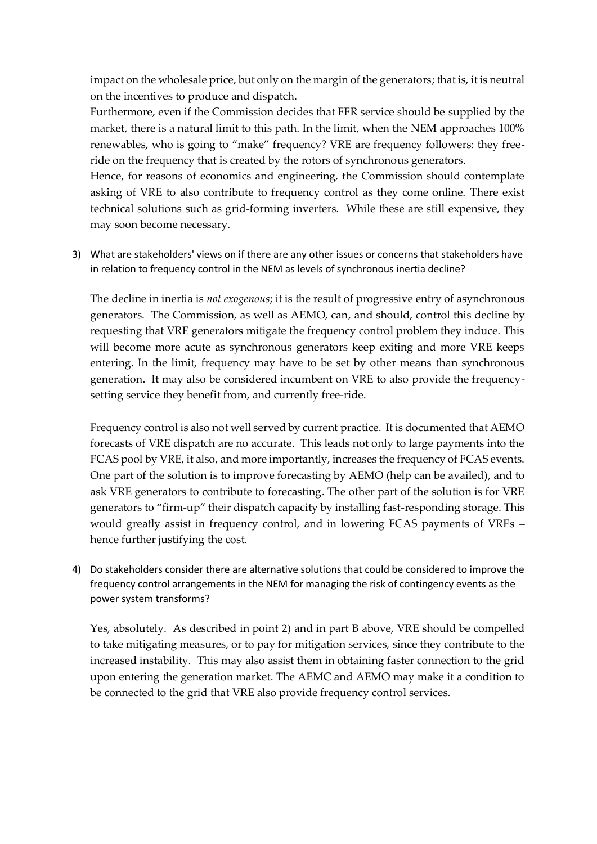impact on the wholesale price, but only on the margin of the generators; that is, it is neutral on the incentives to produce and dispatch.

Furthermore, even if the Commission decides that FFR service should be supplied by the market, there is a natural limit to this path. In the limit, when the NEM approaches 100% renewables, who is going to "make" frequency? VRE are frequency followers: they freeride on the frequency that is created by the rotors of synchronous generators.

Hence, for reasons of economics and engineering, the Commission should contemplate asking of VRE to also contribute to frequency control as they come online. There exist technical solutions such as grid-forming inverters. While these are still expensive, they may soon become necessary.

3) What are stakeholders' views on if there are any other issues or concerns that stakeholders have in relation to frequency control in the NEM as levels of synchronous inertia decline?

The decline in inertia is *not exogenous*; it is the result of progressive entry of asynchronous generators. The Commission, as well as AEMO, can, and should, control this decline by requesting that VRE generators mitigate the frequency control problem they induce. This will become more acute as synchronous generators keep exiting and more VRE keeps entering. In the limit, frequency may have to be set by other means than synchronous generation. It may also be considered incumbent on VRE to also provide the frequencysetting service they benefit from, and currently free-ride.

Frequency control is also not well served by current practice. It is documented that AEMO forecasts of VRE dispatch are no accurate. This leads not only to large payments into the FCAS pool by VRE, it also, and more importantly, increases the frequency of FCAS events. One part of the solution is to improve forecasting by AEMO (help can be availed), and to ask VRE generators to contribute to forecasting. The other part of the solution is for VRE generators to "firm-up" their dispatch capacity by installing fast-responding storage. This would greatly assist in frequency control, and in lowering FCAS payments of VREs – hence further justifying the cost.

4) Do stakeholders consider there are alternative solutions that could be considered to improve the frequency control arrangements in the NEM for managing the risk of contingency events as the power system transforms?

Yes, absolutely. As described in point 2) and in part B above, VRE should be compelled to take mitigating measures, or to pay for mitigation services, since they contribute to the increased instability. This may also assist them in obtaining faster connection to the grid upon entering the generation market. The AEMC and AEMO may make it a condition to be connected to the grid that VRE also provide frequency control services.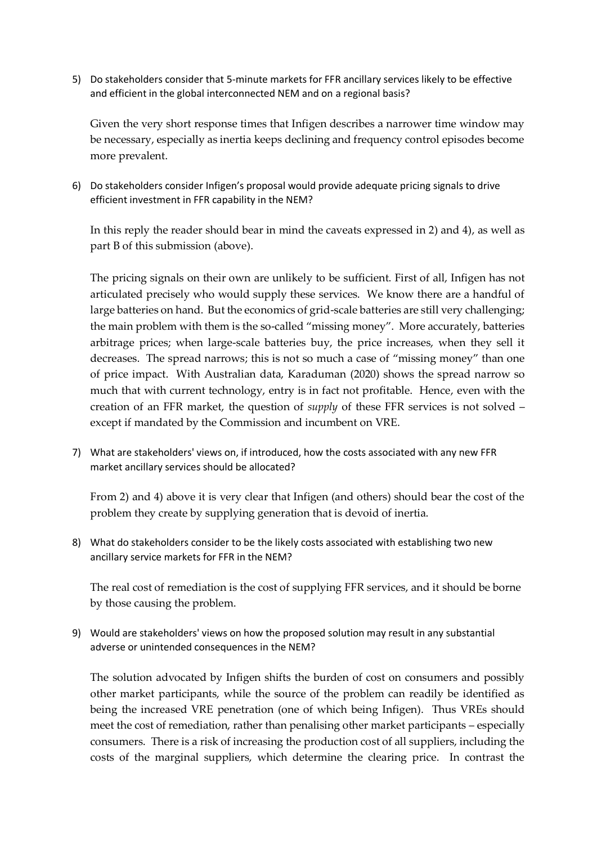5) Do stakeholders consider that 5-minute markets for FFR ancillary services likely to be effective and efficient in the global interconnected NEM and on a regional basis?

Given the very short response times that Infigen describes a narrower time window may be necessary, especially as inertia keeps declining and frequency control episodes become more prevalent.

6) Do stakeholders consider Infigen's proposal would provide adequate pricing signals to drive efficient investment in FFR capability in the NEM?

In this reply the reader should bear in mind the caveats expressed in 2) and 4), as well as part B of this submission (above).

The pricing signals on their own are unlikely to be sufficient. First of all, Infigen has not articulated precisely who would supply these services. We know there are a handful of large batteries on hand. But the economics of grid-scale batteries are still very challenging; the main problem with them is the so-called "missing money". More accurately, batteries arbitrage prices; when large-scale batteries buy, the price increases, when they sell it decreases. The spread narrows; this is not so much a case of "missing money" than one of price impact. With Australian data, Karaduman (2020) shows the spread narrow so much that with current technology, entry is in fact not profitable. Hence, even with the creation of an FFR market, the question of *supply* of these FFR services is not solved – except if mandated by the Commission and incumbent on VRE.

7) What are stakeholders' views on, if introduced, how the costs associated with any new FFR market ancillary services should be allocated?

From 2) and 4) above it is very clear that Infigen (and others) should bear the cost of the problem they create by supplying generation that is devoid of inertia.

8) What do stakeholders consider to be the likely costs associated with establishing two new ancillary service markets for FFR in the NEM?

The real cost of remediation is the cost of supplying FFR services, and it should be borne by those causing the problem.

9) Would are stakeholders' views on how the proposed solution may result in any substantial adverse or unintended consequences in the NEM?

The solution advocated by Infigen shifts the burden of cost on consumers and possibly other market participants, while the source of the problem can readily be identified as being the increased VRE penetration (one of which being Infigen). Thus VREs should meet the cost of remediation, rather than penalising other market participants – especially consumers. There is a risk of increasing the production cost of all suppliers, including the costs of the marginal suppliers, which determine the clearing price. In contrast the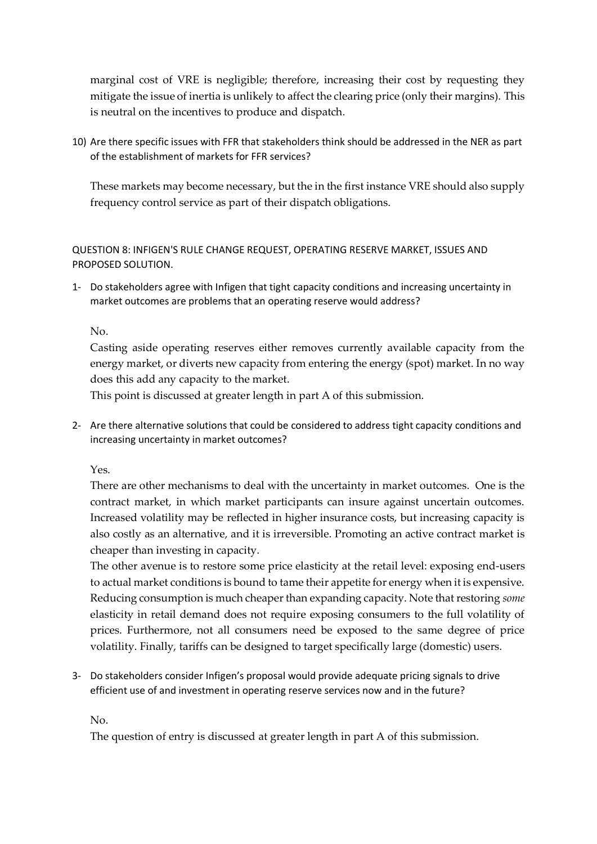marginal cost of VRE is negligible; therefore, increasing their cost by requesting they mitigate the issue of inertia is unlikely to affect the clearing price (only their margins). This is neutral on the incentives to produce and dispatch.

10) Are there specific issues with FFR that stakeholders think should be addressed in the NER as part of the establishment of markets for FFR services?

These markets may become necessary, but the in the first instance VRE should also supply frequency control service as part of their dispatch obligations.

QUESTION 8: INFIGEN'S RULE CHANGE REQUEST, OPERATING RESERVE MARKET, ISSUES AND PROPOSED SOLUTION.

1- Do stakeholders agree with Infigen that tight capacity conditions and increasing uncertainty in market outcomes are problems that an operating reserve would address?

### No.

Casting aside operating reserves either removes currently available capacity from the energy market, or diverts new capacity from entering the energy (spot) market. In no way does this add any capacity to the market.

This point is discussed at greater length in part A of this submission.

2- Are there alternative solutions that could be considered to address tight capacity conditions and increasing uncertainty in market outcomes?

Yes.

There are other mechanisms to deal with the uncertainty in market outcomes. One is the contract market, in which market participants can insure against uncertain outcomes. Increased volatility may be reflected in higher insurance costs, but increasing capacity is also costly as an alternative, and it is irreversible. Promoting an active contract market is cheaper than investing in capacity.

The other avenue is to restore some price elasticity at the retail level: exposing end-users to actual market conditions is bound to tame their appetite for energy when it is expensive. Reducing consumption is much cheaper than expanding capacity. Note that restoring *some* elasticity in retail demand does not require exposing consumers to the full volatility of prices. Furthermore, not all consumers need be exposed to the same degree of price volatility. Finally, tariffs can be designed to target specifically large (domestic) users.

3- Do stakeholders consider Infigen's proposal would provide adequate pricing signals to drive efficient use of and investment in operating reserve services now and in the future?

No.

The question of entry is discussed at greater length in part A of this submission.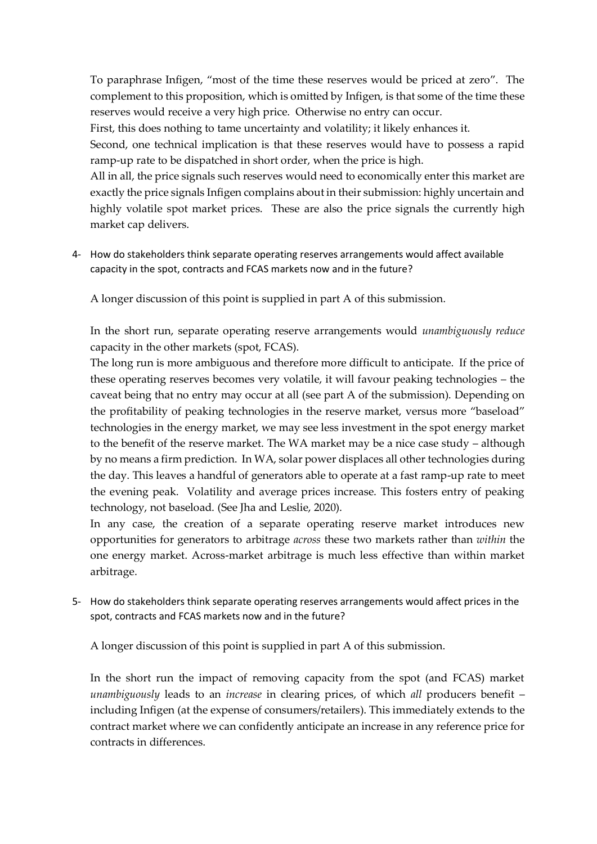To paraphrase Infigen, "most of the time these reserves would be priced at zero". The complement to this proposition, which is omitted by Infigen, is that some of the time these reserves would receive a very high price. Otherwise no entry can occur.

First, this does nothing to tame uncertainty and volatility; it likely enhances it.

Second, one technical implication is that these reserves would have to possess a rapid ramp-up rate to be dispatched in short order, when the price is high.

All in all, the price signals such reserves would need to economically enter this market are exactly the price signals Infigen complains about in their submission: highly uncertain and highly volatile spot market prices. These are also the price signals the currently high market cap delivers.

4- How do stakeholders think separate operating reserves arrangements would affect available capacity in the spot, contracts and FCAS markets now and in the future?

A longer discussion of this point is supplied in part A of this submission.

In the short run, separate operating reserve arrangements would *unambiguously reduce* capacity in the other markets (spot, FCAS).

The long run is more ambiguous and therefore more difficult to anticipate. If the price of these operating reserves becomes very volatile, it will favour peaking technologies – the caveat being that no entry may occur at all (see part A of the submission). Depending on the profitability of peaking technologies in the reserve market, versus more "baseload" technologies in the energy market, we may see less investment in the spot energy market to the benefit of the reserve market. The WA market may be a nice case study – although by no means a firm prediction. In WA, solar power displaces all other technologies during the day. This leaves a handful of generators able to operate at a fast ramp-up rate to meet the evening peak. Volatility and average prices increase. This fosters entry of peaking technology, not baseload. (See Jha and Leslie, 2020).

In any case, the creation of a separate operating reserve market introduces new opportunities for generators to arbitrage *across* these two markets rather than *within* the one energy market. Across-market arbitrage is much less effective than within market arbitrage.

5- How do stakeholders think separate operating reserves arrangements would affect prices in the spot, contracts and FCAS markets now and in the future?

A longer discussion of this point is supplied in part A of this submission.

In the short run the impact of removing capacity from the spot (and FCAS) market *unambiguously* leads to an *increase* in clearing prices, of which *all* producers benefit – including Infigen (at the expense of consumers/retailers). This immediately extends to the contract market where we can confidently anticipate an increase in any reference price for contracts in differences.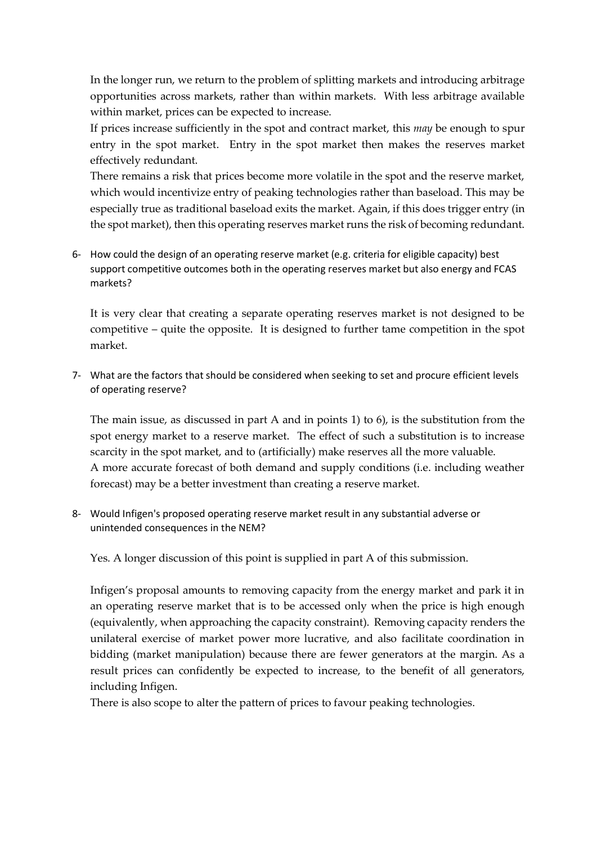In the longer run, we return to the problem of splitting markets and introducing arbitrage opportunities across markets, rather than within markets. With less arbitrage available within market, prices can be expected to increase.

If prices increase sufficiently in the spot and contract market, this *may* be enough to spur entry in the spot market. Entry in the spot market then makes the reserves market effectively redundant.

There remains a risk that prices become more volatile in the spot and the reserve market, which would incentivize entry of peaking technologies rather than baseload. This may be especially true as traditional baseload exits the market. Again, if this does trigger entry (in the spot market), then this operating reserves market runs the risk of becoming redundant.

6- How could the design of an operating reserve market (e.g. criteria for eligible capacity) best support competitive outcomes both in the operating reserves market but also energy and FCAS markets?

It is very clear that creating a separate operating reserves market is not designed to be competitive – quite the opposite. It is designed to further tame competition in the spot market.

7- What are the factors that should be considered when seeking to set and procure efficient levels of operating reserve?

The main issue, as discussed in part A and in points 1) to 6), is the substitution from the spot energy market to a reserve market. The effect of such a substitution is to increase scarcity in the spot market, and to (artificially) make reserves all the more valuable. A more accurate forecast of both demand and supply conditions (i.e. including weather forecast) may be a better investment than creating a reserve market.

8- Would Infigen's proposed operating reserve market result in any substantial adverse or unintended consequences in the NEM?

Yes. A longer discussion of this point is supplied in part A of this submission.

Infigen's proposal amounts to removing capacity from the energy market and park it in an operating reserve market that is to be accessed only when the price is high enough (equivalently, when approaching the capacity constraint). Removing capacity renders the unilateral exercise of market power more lucrative, and also facilitate coordination in bidding (market manipulation) because there are fewer generators at the margin. As a result prices can confidently be expected to increase, to the benefit of all generators, including Infigen.

There is also scope to alter the pattern of prices to favour peaking technologies.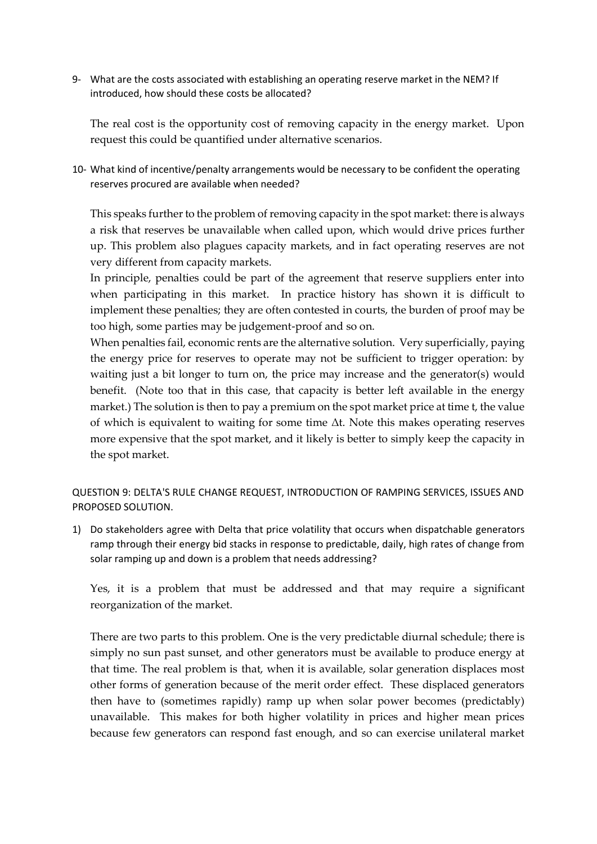9- What are the costs associated with establishing an operating reserve market in the NEM? If introduced, how should these costs be allocated?

The real cost is the opportunity cost of removing capacity in the energy market. Upon request this could be quantified under alternative scenarios.

10- What kind of incentive/penalty arrangements would be necessary to be confident the operating reserves procured are available when needed?

This speaks further to the problem of removing capacity in the spot market: there is always a risk that reserves be unavailable when called upon, which would drive prices further up. This problem also plagues capacity markets, and in fact operating reserves are not very different from capacity markets.

In principle, penalties could be part of the agreement that reserve suppliers enter into when participating in this market. In practice history has shown it is difficult to implement these penalties; they are often contested in courts, the burden of proof may be too high, some parties may be judgement-proof and so on.

When penalties fail, economic rents are the alternative solution. Very superficially, paying the energy price for reserves to operate may not be sufficient to trigger operation: by waiting just a bit longer to turn on, the price may increase and the generator(s) would benefit. (Note too that in this case, that capacity is better left available in the energy market.) The solution is then to pay a premium on the spot market price at time t, the value of which is equivalent to waiting for some time Δt. Note this makes operating reserves more expensive that the spot market, and it likely is better to simply keep the capacity in the spot market.

QUESTION 9: DELTA'S RULE CHANGE REQUEST, INTRODUCTION OF RAMPING SERVICES, ISSUES AND PROPOSED SOLUTION.

1) Do stakeholders agree with Delta that price volatility that occurs when dispatchable generators ramp through their energy bid stacks in response to predictable, daily, high rates of change from solar ramping up and down is a problem that needs addressing?

Yes, it is a problem that must be addressed and that may require a significant reorganization of the market.

There are two parts to this problem. One is the very predictable diurnal schedule; there is simply no sun past sunset, and other generators must be available to produce energy at that time. The real problem is that, when it is available, solar generation displaces most other forms of generation because of the merit order effect. These displaced generators then have to (sometimes rapidly) ramp up when solar power becomes (predictably) unavailable. This makes for both higher volatility in prices and higher mean prices because few generators can respond fast enough, and so can exercise unilateral market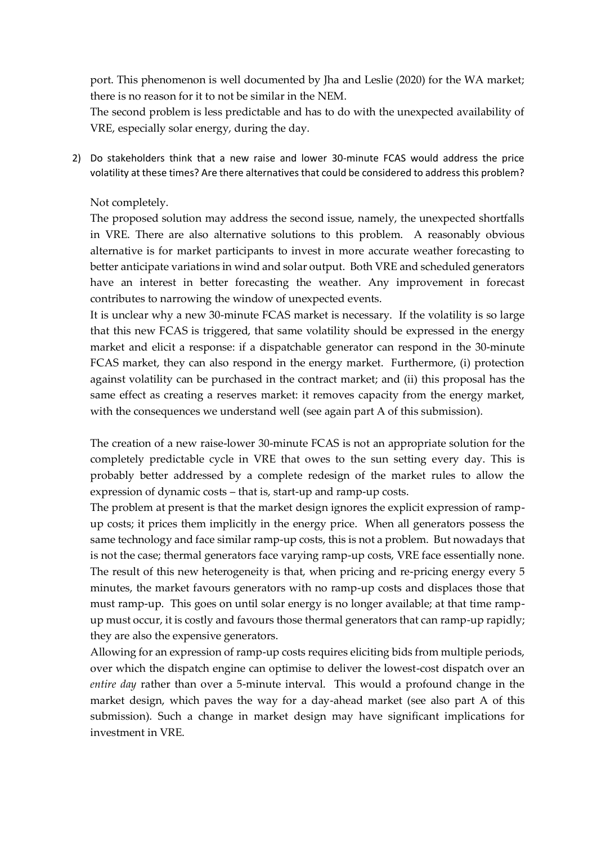port. This phenomenon is well documented by Jha and Leslie (2020) for the WA market; there is no reason for it to not be similar in the NEM.

The second problem is less predictable and has to do with the unexpected availability of VRE, especially solar energy, during the day.

2) Do stakeholders think that a new raise and lower 30-minute FCAS would address the price volatility at these times? Are there alternatives that could be considered to address this problem?

### Not completely.

The proposed solution may address the second issue, namely, the unexpected shortfalls in VRE. There are also alternative solutions to this problem. A reasonably obvious alternative is for market participants to invest in more accurate weather forecasting to better anticipate variations in wind and solar output. Both VRE and scheduled generators have an interest in better forecasting the weather. Any improvement in forecast contributes to narrowing the window of unexpected events.

It is unclear why a new 30-minute FCAS market is necessary. If the volatility is so large that this new FCAS is triggered, that same volatility should be expressed in the energy market and elicit a response: if a dispatchable generator can respond in the 30-minute FCAS market, they can also respond in the energy market. Furthermore, (i) protection against volatility can be purchased in the contract market; and (ii) this proposal has the same effect as creating a reserves market: it removes capacity from the energy market, with the consequences we understand well (see again part A of this submission).

The creation of a new raise-lower 30-minute FCAS is not an appropriate solution for the completely predictable cycle in VRE that owes to the sun setting every day. This is probably better addressed by a complete redesign of the market rules to allow the expression of dynamic costs – that is, start-up and ramp-up costs.

The problem at present is that the market design ignores the explicit expression of rampup costs; it prices them implicitly in the energy price. When all generators possess the same technology and face similar ramp-up costs, this is not a problem. But nowadays that is not the case; thermal generators face varying ramp-up costs, VRE face essentially none. The result of this new heterogeneity is that, when pricing and re-pricing energy every 5 minutes, the market favours generators with no ramp-up costs and displaces those that must ramp-up. This goes on until solar energy is no longer available; at that time rampup must occur, it is costly and favours those thermal generators that can ramp-up rapidly; they are also the expensive generators.

Allowing for an expression of ramp-up costs requires eliciting bids from multiple periods, over which the dispatch engine can optimise to deliver the lowest-cost dispatch over an *entire day* rather than over a 5-minute interval. This would a profound change in the market design, which paves the way for a day-ahead market (see also part A of this submission). Such a change in market design may have significant implications for investment in VRE.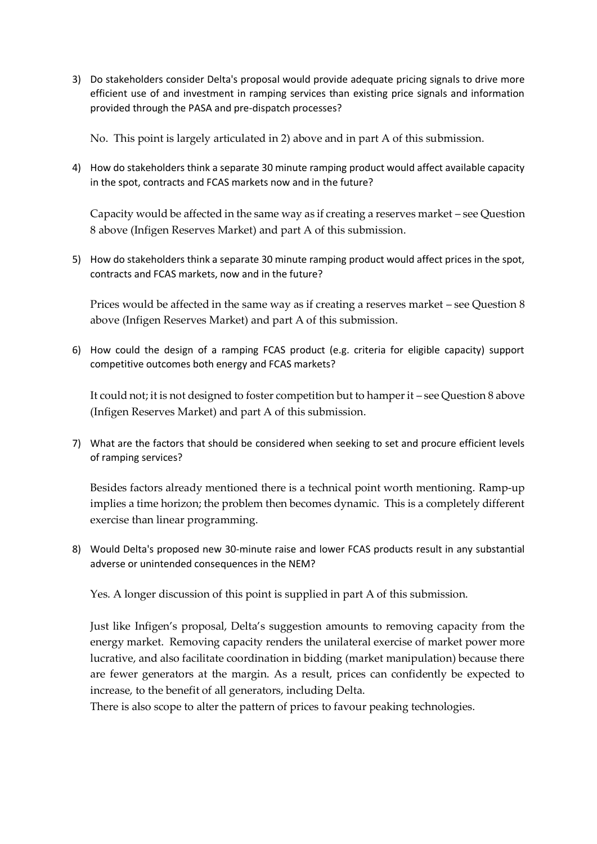3) Do stakeholders consider Delta's proposal would provide adequate pricing signals to drive more efficient use of and investment in ramping services than existing price signals and information provided through the PASA and pre-dispatch processes?

No. This point is largely articulated in 2) above and in part A of this submission.

4) How do stakeholders think a separate 30 minute ramping product would affect available capacity in the spot, contracts and FCAS markets now and in the future?

Capacity would be affected in the same way as if creating a reserves market – see Question 8 above (Infigen Reserves Market) and part A of this submission.

5) How do stakeholders think a separate 30 minute ramping product would affect prices in the spot, contracts and FCAS markets, now and in the future?

Prices would be affected in the same way as if creating a reserves market – see Question 8 above (Infigen Reserves Market) and part A of this submission.

6) How could the design of a ramping FCAS product (e.g. criteria for eligible capacity) support competitive outcomes both energy and FCAS markets?

It could not; it is not designed to foster competition but to hamper it – see Question 8 above (Infigen Reserves Market) and part A of this submission.

7) What are the factors that should be considered when seeking to set and procure efficient levels of ramping services?

Besides factors already mentioned there is a technical point worth mentioning. Ramp-up implies a time horizon; the problem then becomes dynamic. This is a completely different exercise than linear programming.

8) Would Delta's proposed new 30-minute raise and lower FCAS products result in any substantial adverse or unintended consequences in the NEM?

Yes. A longer discussion of this point is supplied in part A of this submission.

Just like Infigen's proposal, Delta's suggestion amounts to removing capacity from the energy market. Removing capacity renders the unilateral exercise of market power more lucrative, and also facilitate coordination in bidding (market manipulation) because there are fewer generators at the margin. As a result, prices can confidently be expected to increase, to the benefit of all generators, including Delta.

There is also scope to alter the pattern of prices to favour peaking technologies.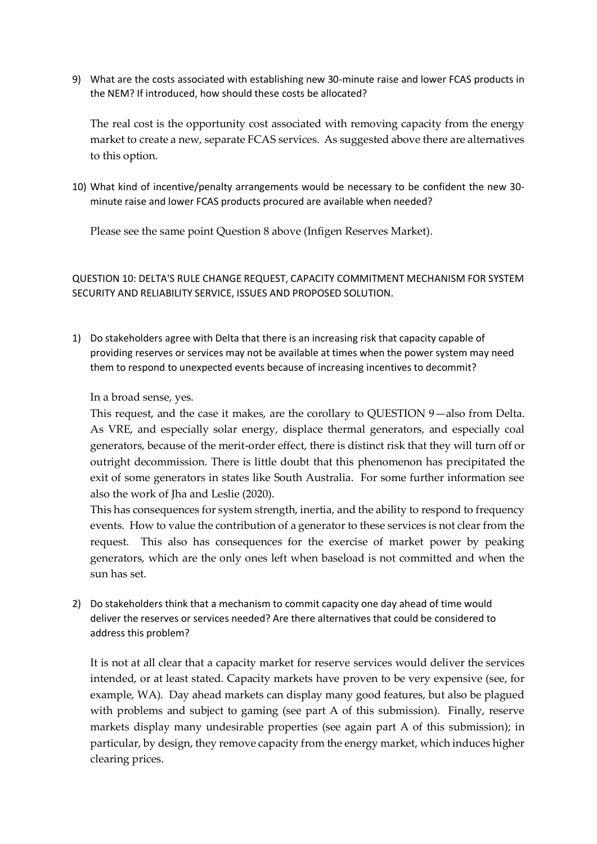9) What are the costs associated with establishing new 30-minute raise and lower FCAS products in the NEM? If introduced, how should these costs be allocated?

The real cost is the opportunity cost associated with removing capacity from the energy market to create a new, separate FCAS services. As suggested above there are alternatives to this option.

10) What kind of incentive/penalty arrangements would be necessary to be confident the new 30 minute raise and lower FCAS products procured are available when needed?

Please see the same point Question 8 above (Infigen Reserves Market).

QUESTION 10: DELTA'S RULE CHANGE REQUEST, CAPACITY COMMITMENT MECHANISM FOR SYSTEM SECURITY AND RELIABILITY SERVICE, ISSUES AND PROPOSED SOLUTION.

1) Do stakeholders agree with Delta that there is an increasing risk that capacity capable of providing reserves or services may not be available at times when the power system may need them to respond to unexpected events because of increasing incentives to decommit?

In a broad sense, yes.

This request, and the case it makes, are the corollary to QUESTION 9—also from Delta. As VRE, and especially solar energy, displace thermal generators, and especially coal generators, because of the merit-order effect, there is distinct risk that they will turn off or outright decommission. There is little doubt that this phenomenon has precipitated the exit of some generators in states like South Australia. For some further information see also the work of Jha and Leslie (2020).

This has consequences for system strength, inertia, and the ability to respond to frequency events. How to value the contribution of a generator to these services is not clear from the request. This also has consequences for the exercise of market power by peaking generators, which are the only ones left when baseload is not committed and when the sun has set.

2) Do stakeholders think that a mechanism to commit capacity one day ahead of time would deliver the reserves or services needed? Are there alternatives that could be considered to address this problem?

It is not at all clear that a capacity market for reserve services would deliver the services intended, or at least stated. Capacity markets have proven to be very expensive (see, for example, WA). Day ahead markets can display many good features, but also be plagued with problems and subject to gaming (see part A of this submission). Finally, reserve markets display many undesirable properties (see again part A of this submission); in particular, by design, they remove capacity from the energy market, which induces higher clearing prices.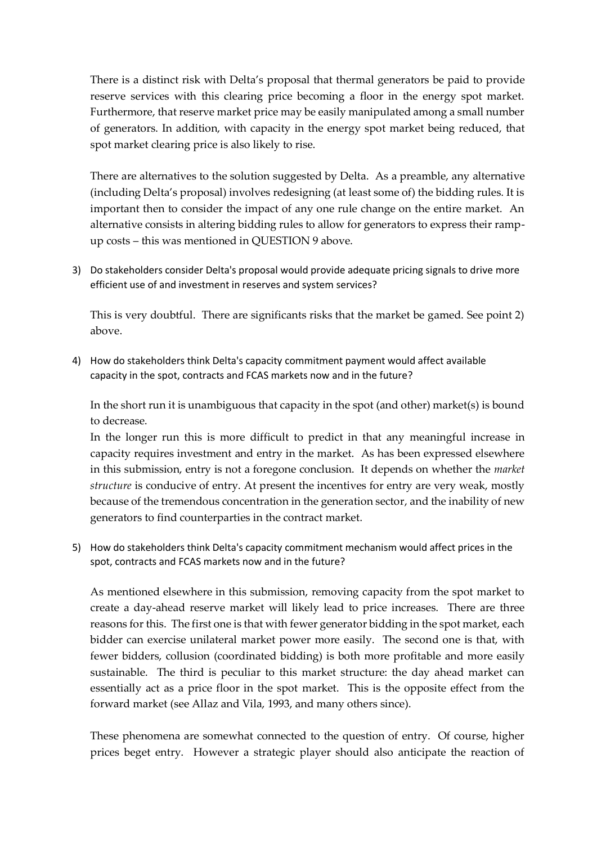There is a distinct risk with Delta's proposal that thermal generators be paid to provide reserve services with this clearing price becoming a floor in the energy spot market. Furthermore, that reserve market price may be easily manipulated among a small number of generators. In addition, with capacity in the energy spot market being reduced, that spot market clearing price is also likely to rise.

There are alternatives to the solution suggested by Delta. As a preamble, any alternative (including Delta's proposal) involves redesigning (at least some of) the bidding rules. It is important then to consider the impact of any one rule change on the entire market. An alternative consists in altering bidding rules to allow for generators to express their rampup costs – this was mentioned in QUESTION 9 above.

3) Do stakeholders consider Delta's proposal would provide adequate pricing signals to drive more efficient use of and investment in reserves and system services?

This is very doubtful. There are significants risks that the market be gamed. See point 2) above.

4) How do stakeholders think Delta's capacity commitment payment would affect available capacity in the spot, contracts and FCAS markets now and in the future?

In the short run it is unambiguous that capacity in the spot (and other) market(s) is bound to decrease.

In the longer run this is more difficult to predict in that any meaningful increase in capacity requires investment and entry in the market. As has been expressed elsewhere in this submission, entry is not a foregone conclusion. It depends on whether the *market structure* is conducive of entry. At present the incentives for entry are very weak, mostly because of the tremendous concentration in the generation sector, and the inability of new generators to find counterparties in the contract market.

5) How do stakeholders think Delta's capacity commitment mechanism would affect prices in the spot, contracts and FCAS markets now and in the future?

As mentioned elsewhere in this submission, removing capacity from the spot market to create a day-ahead reserve market will likely lead to price increases. There are three reasons for this. The first one is that with fewer generator bidding in the spot market, each bidder can exercise unilateral market power more easily. The second one is that, with fewer bidders, collusion (coordinated bidding) is both more profitable and more easily sustainable. The third is peculiar to this market structure: the day ahead market can essentially act as a price floor in the spot market. This is the opposite effect from the forward market (see Allaz and Vila, 1993, and many others since).

These phenomena are somewhat connected to the question of entry. Of course, higher prices beget entry. However a strategic player should also anticipate the reaction of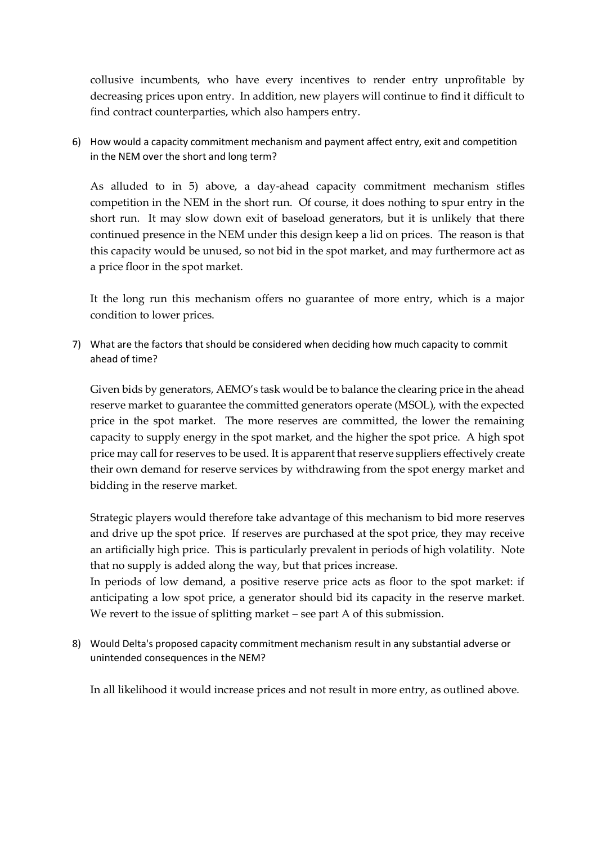collusive incumbents, who have every incentives to render entry unprofitable by decreasing prices upon entry. In addition, new players will continue to find it difficult to find contract counterparties, which also hampers entry.

6) How would a capacity commitment mechanism and payment affect entry, exit and competition in the NEM over the short and long term?

As alluded to in 5) above, a day-ahead capacity commitment mechanism stifles competition in the NEM in the short run. Of course, it does nothing to spur entry in the short run. It may slow down exit of baseload generators, but it is unlikely that there continued presence in the NEM under this design keep a lid on prices. The reason is that this capacity would be unused, so not bid in the spot market, and may furthermore act as a price floor in the spot market.

It the long run this mechanism offers no guarantee of more entry, which is a major condition to lower prices.

7) What are the factors that should be considered when deciding how much capacity to commit ahead of time?

Given bids by generators, AEMO's task would be to balance the clearing price in the ahead reserve market to guarantee the committed generators operate (MSOL), with the expected price in the spot market. The more reserves are committed, the lower the remaining capacity to supply energy in the spot market, and the higher the spot price. A high spot price may call for reserves to be used. It is apparent that reserve suppliers effectively create their own demand for reserve services by withdrawing from the spot energy market and bidding in the reserve market.

Strategic players would therefore take advantage of this mechanism to bid more reserves and drive up the spot price. If reserves are purchased at the spot price, they may receive an artificially high price. This is particularly prevalent in periods of high volatility. Note that no supply is added along the way, but that prices increase.

In periods of low demand, a positive reserve price acts as floor to the spot market: if anticipating a low spot price, a generator should bid its capacity in the reserve market. We revert to the issue of splitting market – see part A of this submission.

8) Would Delta's proposed capacity commitment mechanism result in any substantial adverse or unintended consequences in the NEM?

In all likelihood it would increase prices and not result in more entry, as outlined above.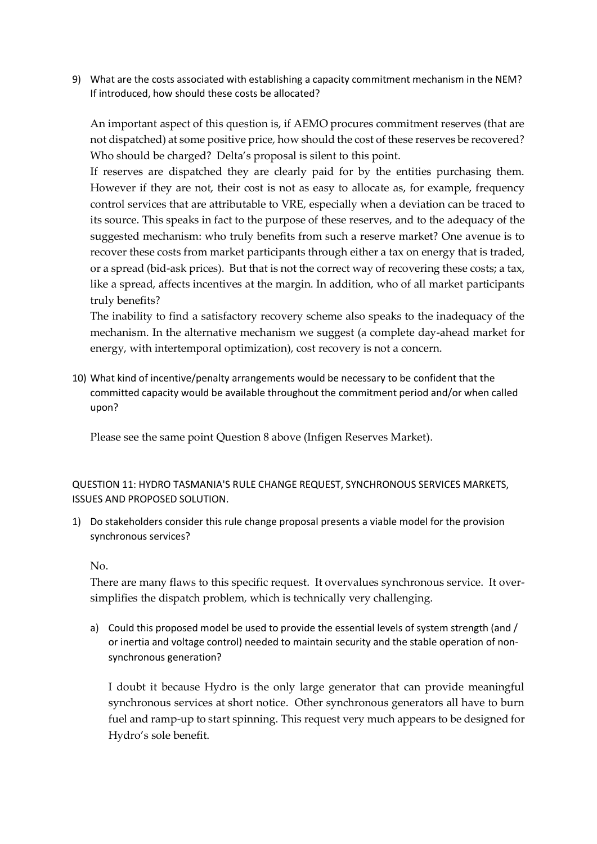9) What are the costs associated with establishing a capacity commitment mechanism in the NEM? If introduced, how should these costs be allocated?

An important aspect of this question is, if AEMO procures commitment reserves (that are not dispatched) at some positive price, how should the cost of these reserves be recovered? Who should be charged? Delta's proposal is silent to this point.

If reserves are dispatched they are clearly paid for by the entities purchasing them. However if they are not, their cost is not as easy to allocate as, for example, frequency control services that are attributable to VRE, especially when a deviation can be traced to its source. This speaks in fact to the purpose of these reserves, and to the adequacy of the suggested mechanism: who truly benefits from such a reserve market? One avenue is to recover these costs from market participants through either a tax on energy that is traded, or a spread (bid-ask prices). But that is not the correct way of recovering these costs; a tax, like a spread, affects incentives at the margin. In addition, who of all market participants truly benefits?

The inability to find a satisfactory recovery scheme also speaks to the inadequacy of the mechanism. In the alternative mechanism we suggest (a complete day-ahead market for energy, with intertemporal optimization), cost recovery is not a concern.

10) What kind of incentive/penalty arrangements would be necessary to be confident that the committed capacity would be available throughout the commitment period and/or when called upon?

Please see the same point Question 8 above (Infigen Reserves Market).

QUESTION 11: HYDRO TASMANIA'S RULE CHANGE REQUEST, SYNCHRONOUS SERVICES MARKETS, ISSUES AND PROPOSED SOLUTION.

1) Do stakeholders consider this rule change proposal presents a viable model for the provision synchronous services?

No.

There are many flaws to this specific request. It overvalues synchronous service. It oversimplifies the dispatch problem, which is technically very challenging.

a) Could this proposed model be used to provide the essential levels of system strength (and / or inertia and voltage control) needed to maintain security and the stable operation of nonsynchronous generation?

I doubt it because Hydro is the only large generator that can provide meaningful synchronous services at short notice. Other synchronous generators all have to burn fuel and ramp-up to start spinning. This request very much appears to be designed for Hydro's sole benefit.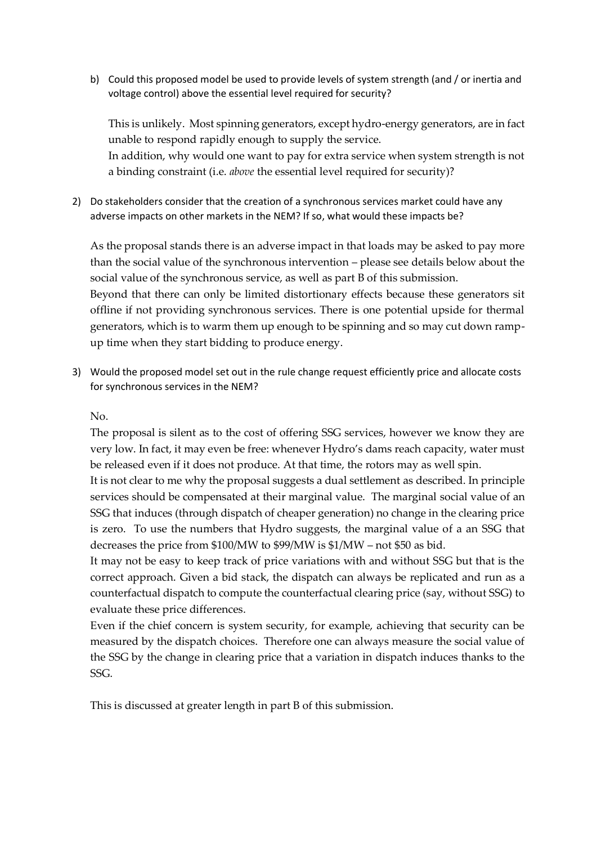b) Could this proposed model be used to provide levels of system strength (and / or inertia and voltage control) above the essential level required for security?

This is unlikely. Most spinning generators, except hydro-energy generators, are in fact unable to respond rapidly enough to supply the service. In addition, why would one want to pay for extra service when system strength is not

a binding constraint (i.e. *above* the essential level required for security)?

2) Do stakeholders consider that the creation of a synchronous services market could have any adverse impacts on other markets in the NEM? If so, what would these impacts be?

As the proposal stands there is an adverse impact in that loads may be asked to pay more than the social value of the synchronous intervention – please see details below about the social value of the synchronous service, as well as part B of this submission.

Beyond that there can only be limited distortionary effects because these generators sit offline if not providing synchronous services. There is one potential upside for thermal generators, which is to warm them up enough to be spinning and so may cut down rampup time when they start bidding to produce energy.

3) Would the proposed model set out in the rule change request efficiently price and allocate costs for synchronous services in the NEM?

No.

The proposal is silent as to the cost of offering SSG services, however we know they are very low. In fact, it may even be free: whenever Hydro's dams reach capacity, water must be released even if it does not produce. At that time, the rotors may as well spin.

It is not clear to me why the proposal suggests a dual settlement as described. In principle services should be compensated at their marginal value. The marginal social value of an SSG that induces (through dispatch of cheaper generation) no change in the clearing price is zero. To use the numbers that Hydro suggests, the marginal value of a an SSG that decreases the price from \$100/MW to \$99/MW is \$1/MW – not \$50 as bid.

It may not be easy to keep track of price variations with and without SSG but that is the correct approach. Given a bid stack, the dispatch can always be replicated and run as a counterfactual dispatch to compute the counterfactual clearing price (say, without SSG) to evaluate these price differences.

Even if the chief concern is system security, for example, achieving that security can be measured by the dispatch choices. Therefore one can always measure the social value of the SSG by the change in clearing price that a variation in dispatch induces thanks to the SSG.

This is discussed at greater length in part B of this submission.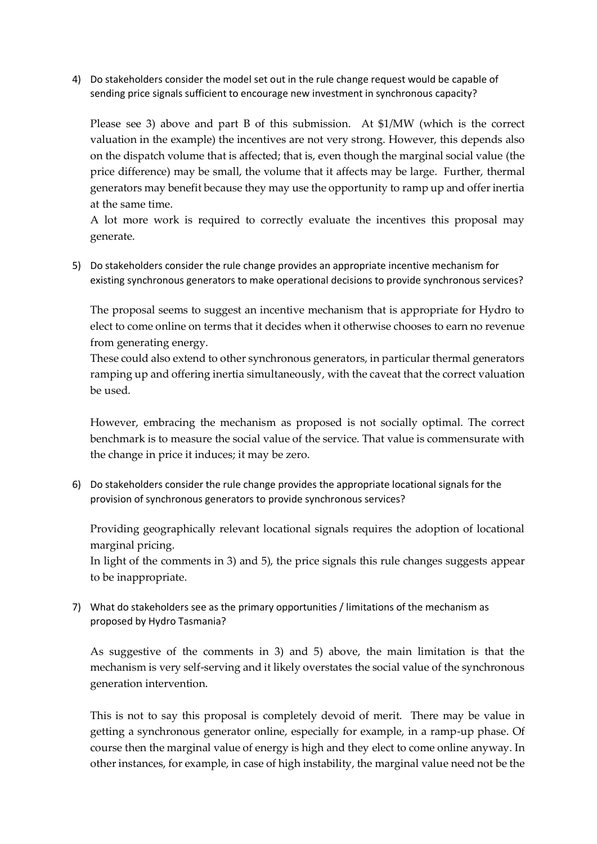4) Do stakeholders consider the model set out in the rule change request would be capable of sending price signals sufficient to encourage new investment in synchronous capacity?

Please see 3) above and part B of this submission. At \$1/MW (which is the correct valuation in the example) the incentives are not very strong. However, this depends also on the dispatch volume that is affected; that is, even though the marginal social value (the price difference) may be small, the volume that it affects may be large. Further, thermal generators may benefit because they may use the opportunity to ramp up and offer inertia at the same time.

A lot more work is required to correctly evaluate the incentives this proposal may generate.

5) Do stakeholders consider the rule change provides an appropriate incentive mechanism for existing synchronous generators to make operational decisions to provide synchronous services?

The proposal seems to suggest an incentive mechanism that is appropriate for Hydro to elect to come online on terms that it decides when it otherwise chooses to earn no revenue from generating energy.

These could also extend to other synchronous generators, in particular thermal generators ramping up and offering inertia simultaneously, with the caveat that the correct valuation be used.

However, embracing the mechanism as proposed is not socially optimal. The correct benchmark is to measure the social value of the service. That value is commensurate with the change in price it induces; it may be zero.

6) Do stakeholders consider the rule change provides the appropriate locational signals for the provision of synchronous generators to provide synchronous services?

Providing geographically relevant locational signals requires the adoption of locational marginal pricing.

In light of the comments in 3) and 5), the price signals this rule changes suggests appear to be inappropriate.

7) What do stakeholders see as the primary opportunities / limitations of the mechanism as proposed by Hydro Tasmania?

As suggestive of the comments in 3) and 5) above, the main limitation is that the mechanism is very self-serving and it likely overstates the social value of the synchronous generation intervention.

This is not to say this proposal is completely devoid of merit. There may be value in getting a synchronous generator online, especially for example, in a ramp-up phase. Of course then the marginal value of energy is high and they elect to come online anyway. In other instances, for example, in case of high instability, the marginal value need not be the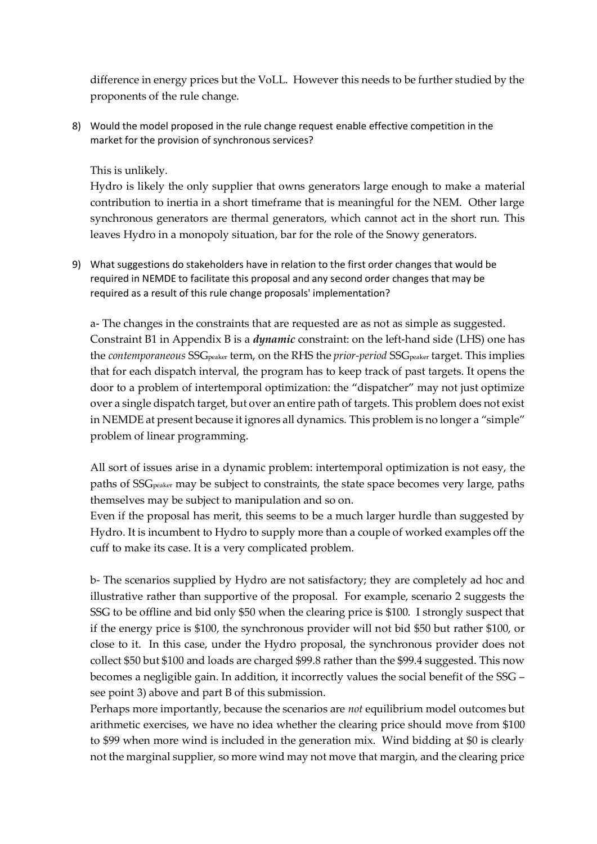difference in energy prices but the VoLL. However this needs to be further studied by the proponents of the rule change.

8) Would the model proposed in the rule change request enable effective competition in the market for the provision of synchronous services?

## This is unlikely.

Hydro is likely the only supplier that owns generators large enough to make a material contribution to inertia in a short timeframe that is meaningful for the NEM. Other large synchronous generators are thermal generators, which cannot act in the short run. This leaves Hydro in a monopoly situation, bar for the role of the Snowy generators.

9) What suggestions do stakeholders have in relation to the first order changes that would be required in NEMDE to facilitate this proposal and any second order changes that may be required as a result of this rule change proposals' implementation?

a- The changes in the constraints that are requested are as not as simple as suggested. Constraint B1 in Appendix B is a *dynamic* constraint: on the left-hand side (LHS) one has the *contemporaneous* SSG<sub>peaker</sub> term, on the RHS the *prior-period* SSG<sub>peaker</sub> target. This implies that for each dispatch interval, the program has to keep track of past targets. It opens the door to a problem of intertemporal optimization: the "dispatcher" may not just optimize over a single dispatch target, but over an entire path of targets. This problem does not exist in NEMDE at present because it ignores all dynamics. This problem is no longer a "simple" problem of linear programming.

All sort of issues arise in a dynamic problem: intertemporal optimization is not easy, the paths of SSGpeaker may be subject to constraints, the state space becomes very large, paths themselves may be subject to manipulation and so on.

Even if the proposal has merit, this seems to be a much larger hurdle than suggested by Hydro. It is incumbent to Hydro to supply more than a couple of worked examples off the cuff to make its case. It is a very complicated problem.

b- The scenarios supplied by Hydro are not satisfactory; they are completely ad hoc and illustrative rather than supportive of the proposal. For example, scenario 2 suggests the SSG to be offline and bid only \$50 when the clearing price is \$100. I strongly suspect that if the energy price is \$100, the synchronous provider will not bid \$50 but rather \$100, or close to it. In this case, under the Hydro proposal, the synchronous provider does not collect \$50 but \$100 and loads are charged \$99.8 rather than the \$99.4 suggested. This now becomes a negligible gain. In addition, it incorrectly values the social benefit of the SSG – see point 3) above and part B of this submission.

Perhaps more importantly, because the scenarios are *not* equilibrium model outcomes but arithmetic exercises, we have no idea whether the clearing price should move from \$100 to \$99 when more wind is included in the generation mix. Wind bidding at \$0 is clearly not the marginal supplier, so more wind may not move that margin, and the clearing price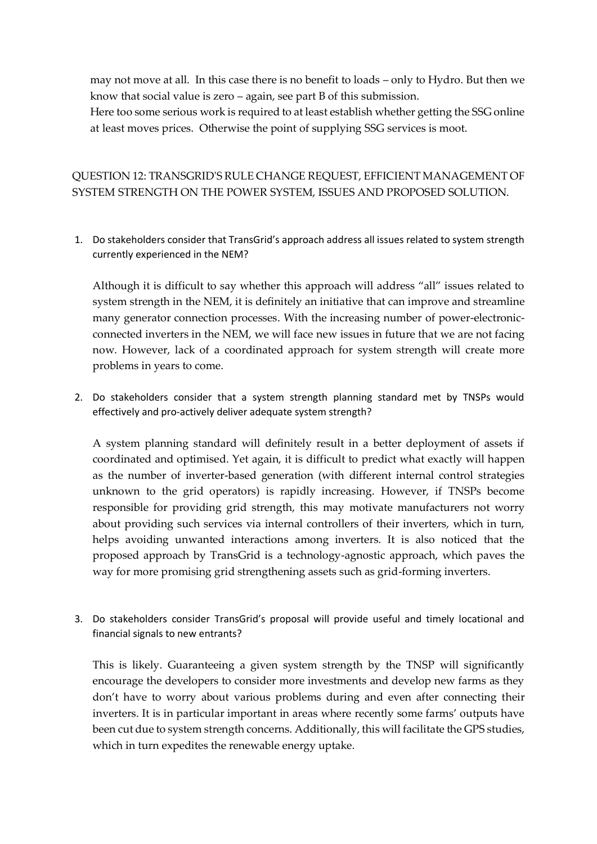may not move at all. In this case there is no benefit to loads – only to Hydro. But then we know that social value is zero – again, see part B of this submission. Here too some serious work is required to at least establish whether getting the SSG online at least moves prices. Otherwise the point of supplying SSG services is moot.

# QUESTION 12: TRANSGRID'S RULE CHANGE REQUEST, EFFICIENT MANAGEMENT OF SYSTEM STRENGTH ON THE POWER SYSTEM, ISSUES AND PROPOSED SOLUTION.

1. Do stakeholders consider that TransGrid's approach address all issues related to system strength currently experienced in the NEM?

Although it is difficult to say whether this approach will address "all" issues related to system strength in the NEM, it is definitely an initiative that can improve and streamline many generator connection processes. With the increasing number of power-electronicconnected inverters in the NEM, we will face new issues in future that we are not facing now. However, lack of a coordinated approach for system strength will create more problems in years to come.

2. Do stakeholders consider that a system strength planning standard met by TNSPs would effectively and pro-actively deliver adequate system strength?

A system planning standard will definitely result in a better deployment of assets if coordinated and optimised. Yet again, it is difficult to predict what exactly will happen as the number of inverter-based generation (with different internal control strategies unknown to the grid operators) is rapidly increasing. However, if TNSPs become responsible for providing grid strength, this may motivate manufacturers not worry about providing such services via internal controllers of their inverters, which in turn, helps avoiding unwanted interactions among inverters. It is also noticed that the proposed approach by TransGrid is a technology-agnostic approach, which paves the way for more promising grid strengthening assets such as grid-forming inverters.

3. Do stakeholders consider TransGrid's proposal will provide useful and timely locational and financial signals to new entrants?

This is likely. Guaranteeing a given system strength by the TNSP will significantly encourage the developers to consider more investments and develop new farms as they don't have to worry about various problems during and even after connecting their inverters. It is in particular important in areas where recently some farms' outputs have been cut due to system strength concerns. Additionally, this will facilitate the GPS studies, which in turn expedites the renewable energy uptake.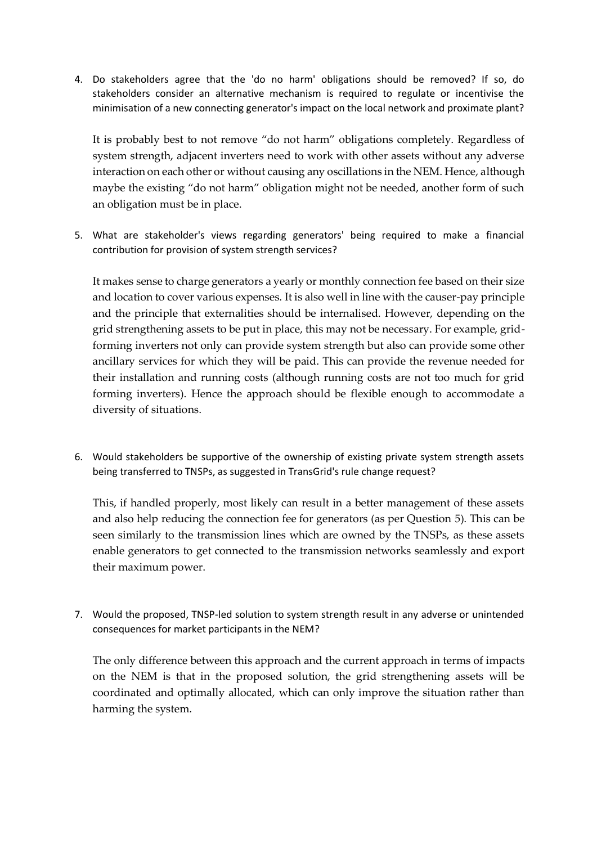4. Do stakeholders agree that the 'do no harm' obligations should be removed? If so, do stakeholders consider an alternative mechanism is required to regulate or incentivise the minimisation of a new connecting generator's impact on the local network and proximate plant?

It is probably best to not remove "do not harm" obligations completely. Regardless of system strength, adjacent inverters need to work with other assets without any adverse interaction on each other or without causing any oscillations in the NEM. Hence, although maybe the existing "do not harm" obligation might not be needed, another form of such an obligation must be in place.

5. What are stakeholder's views regarding generators' being required to make a financial contribution for provision of system strength services?

It makes sense to charge generators a yearly or monthly connection fee based on their size and location to cover various expenses. It is also well in line with the causer-pay principle and the principle that externalities should be internalised. However, depending on the grid strengthening assets to be put in place, this may not be necessary. For example, gridforming inverters not only can provide system strength but also can provide some other ancillary services for which they will be paid. This can provide the revenue needed for their installation and running costs (although running costs are not too much for grid forming inverters). Hence the approach should be flexible enough to accommodate a diversity of situations.

6. Would stakeholders be supportive of the ownership of existing private system strength assets being transferred to TNSPs, as suggested in TransGrid's rule change request?

This, if handled properly, most likely can result in a better management of these assets and also help reducing the connection fee for generators (as per Question 5). This can be seen similarly to the transmission lines which are owned by the TNSPs, as these assets enable generators to get connected to the transmission networks seamlessly and export their maximum power.

7. Would the proposed, TNSP-led solution to system strength result in any adverse or unintended consequences for market participants in the NEM?

The only difference between this approach and the current approach in terms of impacts on the NEM is that in the proposed solution, the grid strengthening assets will be coordinated and optimally allocated, which can only improve the situation rather than harming the system.